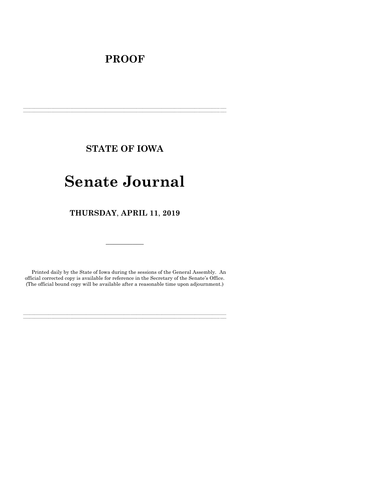## **PROOF**

**STATE OF IOWA**

**\_\_\_\_\_\_\_\_\_\_\_\_\_\_\_\_\_\_\_\_\_\_\_\_\_\_\_\_\_\_\_\_\_\_\_\_\_\_\_\_\_\_\_\_\_\_\_\_\_\_\_\_\_\_\_\_\_\_\_\_\_\_\_\_\_\_\_\_\_\_\_\_\_\_\_\_\_\_\_\_\_\_\_\_\_\_\_\_\_\_\_\_\_\_\_\_\_\_\_\_\_\_\_\_\_\_\_\_\_\_\_\_\_\_\_\_\_\_\_\_\_\_\_\_\_\_\_\_\_ \_\_\_\_\_\_\_\_\_\_\_\_\_\_\_\_\_\_\_\_\_\_\_\_\_\_\_\_\_\_\_\_\_\_\_\_\_\_\_\_\_\_\_\_\_\_\_\_\_\_\_\_\_\_\_\_\_\_\_\_\_\_\_\_\_\_\_\_\_\_\_\_\_\_\_\_\_\_\_\_\_\_\_\_\_\_\_\_\_\_\_\_\_\_\_\_\_\_\_\_\_\_\_\_\_\_\_\_\_\_\_\_\_\_\_\_\_\_\_\_\_\_\_\_\_\_\_\_\_**

# **Senate Journal**

**THURSDAY**, **APRIL 11**, **2019**

Printed daily by the State of Iowa during the sessions of the General Assembly. An official corrected copy is available for reference in the Secretary of the Senate's Office. (The official bound copy will be available after a reasonable time upon adjournment.)

**\_\_\_\_\_\_\_\_\_\_\_\_\_\_\_\_\_\_\_\_\_\_\_\_\_\_\_\_\_\_\_\_\_\_\_\_\_\_\_\_\_\_\_\_\_\_\_\_\_\_\_\_\_\_\_\_\_\_\_\_\_\_\_\_\_\_\_\_\_\_\_\_\_\_\_\_\_\_\_\_\_\_\_\_\_\_\_\_\_\_\_\_\_\_\_\_\_\_\_\_\_\_\_\_\_\_\_\_\_\_\_\_\_\_\_\_\_\_\_\_\_\_\_\_\_\_\_\_\_ \_\_\_\_\_\_\_\_\_\_\_\_\_\_\_\_\_\_\_\_\_\_\_\_\_\_\_\_\_\_\_\_\_\_\_\_\_\_\_\_\_\_\_\_\_\_\_\_\_\_\_\_\_\_\_\_\_\_\_\_\_\_\_\_\_\_\_\_\_\_\_\_\_\_\_\_\_\_\_\_\_\_\_\_\_\_\_\_\_\_\_\_\_\_\_\_\_\_\_\_\_\_\_\_\_\_\_\_\_\_\_\_\_\_\_\_\_\_\_\_\_\_\_\_\_\_\_\_\_**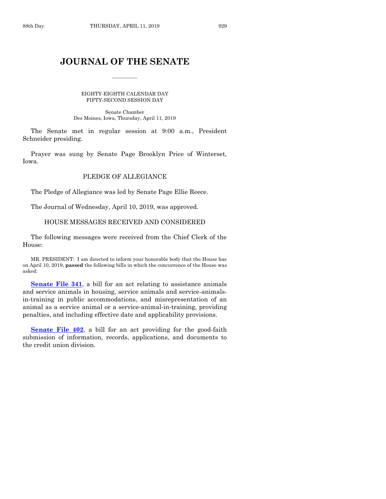## **JOURNAL OF THE SENATE**

 $\overline{\phantom{a}}$ 

EIGHTY-EIGHTH CALENDAR DAY FIFTY-SECOND SESSION DAY

Senate Chamber Des Moines, Iowa, Thursday, April 11, 2019

The Senate met in regular session at 9:00 a.m., President Schneider presiding.

Prayer was sung by Senate Page Brooklyn Price of Winterset, Iowa.

#### PLEDGE OF ALLEGIANCE

The Pledge of Allegiance was led by Senate Page Ellie Reece.

The Journal of Wednesday, April 10, 2019, was approved.

#### HOUSE MESSAGES RECEIVED AND CONSIDERED

The following messages were received from the Chief Clerk of the House:

MR. PRESIDENT: I am directed to inform your honorable body that the House has on April 10, 2019, **passed** the following bills in which the concurrence of the House was asked:

**[Senate File 341](https://www.legis.iowa.gov/legislation/BillBook?ga=88&ba=SF341)**, a bill for an act relating to assistance animals and service animals in housing, service animals and service-animalsin-training in public accommodations, and misrepresentation of an animal as a service animal or a service-animal-in-training, providing penalties, and including effective date and applicability provisions.

**[Senate File 402](https://www.legis.iowa.gov/legislation/BillBook?ga=88&ba=SF402)**, a bill for an act providing for the good-faith submission of information, records, applications, and documents to the credit union division.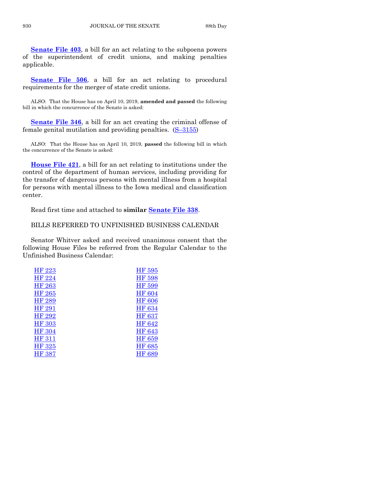**[Senate File 403](https://www.legis.iowa.gov/legislation/BillBook?ga=88&ba=SF403)**, a bill for an act relating to the subpoena powers of the superintendent of credit unions, and making penalties applicable.

**[Senate File 506](https://www.legis.iowa.gov/legislation/BillBook?ga=88&ba=SF506)**, a bill for an act relating to procedural requirements for the merger of state credit unions.

ALSO: That the House has on April 10, 2019, **amended and passed** the following bill in which the concurrence of the Senate is asked:

**[Senate File 346](https://www.legis.iowa.gov/legislation/BillBook?ga=88&ba=SF346)**, a bill for an act creating the criminal offense of female genital mutilation and providing penalties. (S–[3155\)](https://www.legis.iowa.gov/legislation/BillBook?ga=88&ba=S3155)

ALSO: That the House has on April 10, 2019, **passed** the following bill in which the concurrence of the Senate is asked:

**[House File 421](https://www.legis.iowa.gov/legislation/BillBook?ga=88&ba=HF421)**, a bill for an act relating to institutions under the control of the department of human services, including providing for the transfer of dangerous persons with mental illness from a hospital for persons with mental illness to the Iowa medical and classification center.

Read first time and attached to **similar [Senate File 338](https://www.legis.iowa.gov/legislation/BillBook?ga=88&ba=SF338)**.

## BILLS REFERRED TO UNFINISHED BUSINESS CALENDAR

Senator Whitver asked and received unanimous consent that the following House Files be referred from the Regular Calendar to the Unfinished Business Calendar:

| HF 223        | HF 595        |
|---------------|---------------|
| HF 224        | HF 598        |
| HF 263        | HF 599        |
| <b>HF 265</b> | <b>HF 604</b> |
| HF 289        | <b>HF 606</b> |
| HF 291        | <b>HF 634</b> |
| HF 292        | <b>HF 637</b> |
| <b>HF 303</b> | HF 642        |
| <b>HF 304</b> | HF 643        |
| <b>HF 311</b> | HF 659        |
| <b>HF 325</b> | HF 685        |
| <b>HF 387</b> | HF 689        |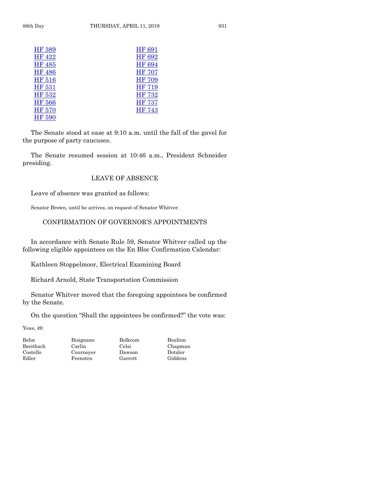| <b>HF 389</b> | <b>HF 691</b> |
|---------------|---------------|
| HF 422        | <b>HF 692</b> |
| <b>HF 485</b> | <b>HF 694</b> |
| <b>HF 486</b> | <b>HF 707</b> |
| HF 516        | <b>HF 709</b> |
| HF 531        | <b>HF 719</b> |
| HF 532        | <b>HF 732</b> |
| <b>HF 566</b> | <b>HF 737</b> |
| <b>HF 570</b> | <b>HF 743</b> |
| HF 590        |               |

The Senate stood at ease at 9:10 a.m. until the fall of the gavel for the purpose of party caucuses.

The Senate resumed session at 10:46 a.m., President Schneider presiding.

## LEAVE OF ABSENCE

Leave of absence was granted as follows:

Senator Brown, until he arrives, on request of Senator Whitver.

## CONFIRMATION OF GOVERNOR'S APPOINTMENTS

In accordance with Senate Rule 59, Senator Whitver called up the following eligible appointees on the En Bloc Confirmation Calendar:

Kathleen Stoppelmoor, Electrical Examining Board

Richard Arnold, State Transportation Commission

Senator Whitver moved that the foregoing appointees be confirmed by the Senate.

On the question "Shall the appointees be confirmed?" the vote was:

Yeas, 49:

Behn Bisignano Bolkcom Boulton<br>Breitbach Carlin Celsi Chapma Costello Cournoyer Dawson Dotzler Edler Feenstra Garrett

Chapman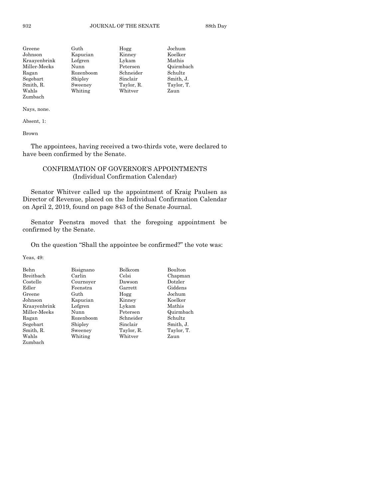| Greene       | Guth      | Hogg       | Jochum     |
|--------------|-----------|------------|------------|
| Johnson      | Kapucian  | Kinney     | Koelker    |
| Kraayenbrink | Lofgren   | Lykam      | Mathis     |
| Miller-Meeks | Nunn      | Petersen   | Quirmbach  |
| Ragan        | Rozenboom | Schneider  | Schultz    |
| Segebart     | Shipley   | Sinclair   | Smith, J.  |
| Smith, R.    | Sweeney   | Taylor, R. | Taylor, T. |
| Wahls        | Whiting   | Whitver    | Zaun       |
| Zumbach      |           |            |            |

Absent, 1:

Brown

The appointees, having received a two-thirds vote, were declared to have been confirmed by the Senate.

## CONFIRMATION OF GOVERNOR'S APPOINTMENTS (Individual Confirmation Calendar)

Senator Whitver called up the appointment of Kraig Paulsen as Director of Revenue, placed on the Individual Confirmation Calendar on April 2, 2019, found on page 843 of the Senate Journal.

Senator Feenstra moved that the foregoing appointment be confirmed by the Senate.

On the question "Shall the appointee be confirmed?" the vote was:

Yeas, 49:

| Behn         | Bolkcom<br>Bisignano |            | Boulton    |
|--------------|----------------------|------------|------------|
| Breitbach    | Carlin               | Celsi      | Chapman    |
| Costello     | Cournover            | Dawson     | Dotzler    |
| Edler        | Feenstra             | Garrett    | Giddens    |
| Greene       | Guth                 | Hogg       | Jochum     |
| Johnson      | Kapucian             | Kinney     | Koelker    |
| Kraayenbrink | Lofgren              | Lykam      | Mathis     |
| Miller-Meeks | Nunn                 | Petersen   | Quirmbach  |
| Ragan        | Rozenboom            | Schneider  | Schultz    |
| Segebart     | Shipley              | Sinclair   | Smith, J.  |
| Smith, R.    | Sweeney              | Taylor, R. | Taylor, T. |
| Wahls        | Whiting              | Whitver    | Zaun       |
| Zumbach      |                      |            |            |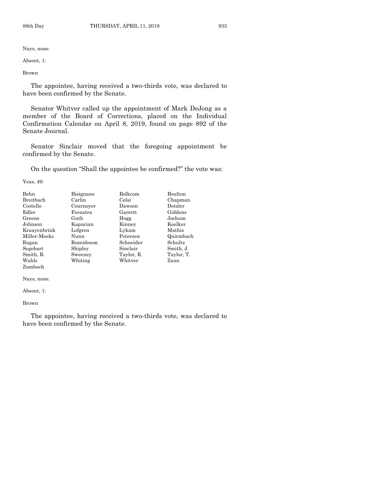Absent, 1:

Brown

The appointee, having received a two-thirds vote, was declared to have been confirmed by the Senate.

Senator Whitver called up the appointment of Mark DeJong as a member of the Board of Corrections, placed on the Individual Confirmation Calendar on April 8, 2019, found on page 892 of the Senate Journal.

Senator Sinclair moved that the foregoing appointment be confirmed by the Senate.

On the question "Shall the appointee be confirmed?" the vote was:

Yeas, 49:

| <b>Behn</b><br><b>Breithach</b> | Bisignano<br>Carlin | Bolkcom<br>Celsi | <b>Boulton</b><br>Chapman |
|---------------------------------|---------------------|------------------|---------------------------|
|                                 |                     |                  |                           |
| Costello                        | Cournover           | Dawson           | Dotzler                   |
| Edler                           | Feenstra            | Garrett          | Giddens                   |
| Greene                          | Guth                | Hogg             | Jochum                    |
| Johnson                         | Kapucian            | Kinney           | Koelker                   |
| Kraayenbrink                    | Lofgren             | Lykam            | Mathis                    |
| Miller Meeks                    | Nunn                | Petersen         | Quirmbach                 |
| Ragan                           | Rozenboom           | Schneider        | Schultz                   |
| Segebart                        | Shipley             | Sinclair         | Smith, J.                 |
| Smith, R.                       | Sweeney             | Taylor, R.       | Taylor, T.                |
| Wahls                           | Whiting             | Whitver          | Zaun                      |
| Zumbach                         |                     |                  |                           |

Nays, none.

Absent, 1:

Brown

The appointee, having received a two-thirds vote, was declared to have been confirmed by the Senate.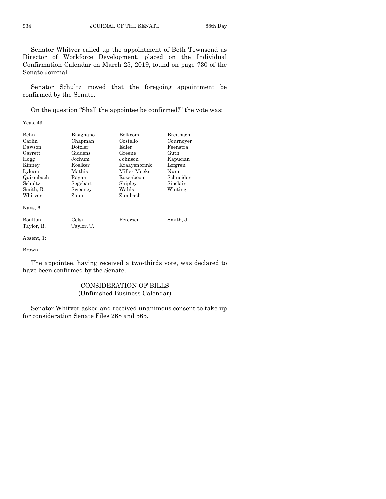Senator Whitver called up the appointment of Beth Townsend as Director of Workforce Development, placed on the Individual Confirmation Calendar on March 25, 2019, found on page 730 of the Senate Journal.

Senator Schultz moved that the foregoing appointment be confirmed by the Senate.

On the question "Shall the appointee be confirmed?" the vote was:

Yeas, 43:

| Behn        | <b>Bolkcom</b><br>Bisignano |              | Breithach |
|-------------|-----------------------------|--------------|-----------|
| Carlin      | Chapman                     | Costello     | Cournoyer |
| Dawson      | Dotzler                     | Edler        | Feenstra  |
| Garrett     | Giddens                     | Greene       | Guth      |
| Hogg        | Jochum                      | Johnson      | Kapucian  |
| Kinney      | Koelker                     | Kraayenbrink | Lofgren   |
| Lykam       | Mathis                      | Miller-Meeks | Nunn      |
| Quirmbach   | Ragan                       | Rozenboom    | Schneider |
| Schultz     | Segebart                    | Shipley      | Sinclair  |
| Smith, R.   | Sweeney                     | Wahls        | Whiting   |
| Whitver     | Zaun                        | Zumbach      |           |
| Nays, $6$ : |                             |              |           |
| Boulton     | Celsi                       | Petersen     | Smith, J. |
| Taylor, R.  | Taylor, T.                  |              |           |

Absent, 1:

Brown

The appointee, having received a two-thirds vote, was declared to have been confirmed by the Senate.

## CONSIDERATION OF BILLS (Unfinished Business Calendar)

Senator Whitver asked and received unanimous consent to take up for consideration Senate Files 268 and 565.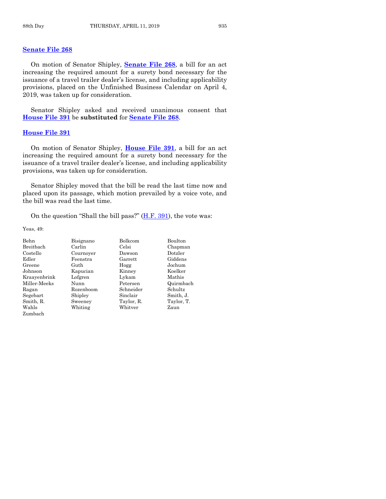#### **[Senate File 268](https://www.legis.iowa.gov/legislation/BillBook?ga=88&ba=SF268)**

On motion of Senator Shipley, **[Senate File 268](https://www.legis.iowa.gov/legislation/BillBook?ga=88&ba=SF268)**, a bill for an act increasing the required amount for a surety bond necessary for the issuance of a travel trailer dealer's license, and including applicability provisions, placed on the Unfinished Business Calendar on April 4, 2019, was taken up for consideration.

Senator Shipley asked and received unanimous consent that **[House File 391](https://www.legis.iowa.gov/legislation/BillBook?ga=88&ba=HF391)** be **substituted** for **[Senate File 268](https://www.legis.iowa.gov/legislation/BillBook?ga=88&ba=SF268)**.

#### **[House File 391](https://www.legis.iowa.gov/legislation/BillBook?ga=88&ba=HF391)**

On motion of Senator Shipley, **[House File 391](https://www.legis.iowa.gov/legislation/BillBook?ga=88&ba=HF391)**, a bill for an act increasing the required amount for a surety bond necessary for the issuance of a travel trailer dealer's license, and including applicability provisions, was taken up for consideration.

Senator Shipley moved that the bill be read the last time now and placed upon its passage, which motion prevailed by a voice vote, and the bill was read the last time.

On the question "Shall the bill pass?" [\(H.F. 391\)](https://www.legis.iowa.gov/legislation/BillBook?ga=88&ba=HF391), the vote was:

Yeas, 49:

| Behn         | Bisignano | Bolkcom    |            |
|--------------|-----------|------------|------------|
| Breitbach    | Carlin    | Celsi      | Chapman    |
| Costello     | Cournover | Dawson     | Dotzler    |
| Edler        | Feenstra  | Garrett    | Giddens    |
| Greene       | Guth      | Hogg       | Jochum     |
| Johnson      | Kapucian  | Kinney     | Koelker    |
| Kraayenbrink | Lofgren   | Lykam      | Mathis     |
| Miller-Meeks | Nunn      | Petersen   | Quirmbach  |
| Ragan        | Rozenboom | Schneider  | Schultz    |
| Segebart     | Shipley   | Sinclair   | Smith, J.  |
| Smith, R.    | Sweeney   | Taylor, R. | Taylor, T. |
| Wahls        | Whiting   | Whitver    | Zaun       |
| Zumbach      |           |            |            |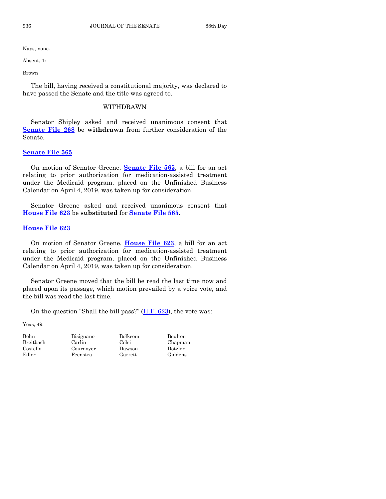Absent, 1:

Brown

The bill, having received a constitutional majority, was declared to have passed the Senate and the title was agreed to.

#### WITHDRAWN

Senator Shipley asked and received unanimous consent that **[Senate File 268](https://www.legis.iowa.gov/legislation/BillBook?ga=88&ba=SF268)** be **withdrawn** from further consideration of the Senate.

#### **[Senate File 565](https://www.legis.iowa.gov/legislation/BillBook?ga=88&ba=SF565)**

On motion of Senator Greene, **[Senate File 565](https://www.legis.iowa.gov/legislation/BillBook?ga=88&ba=SF565)**, a bill for an act relating to prior authorization for medication-assisted treatment under the Medicaid program, placed on the Unfinished Business Calendar on April 4, 2019, was taken up for consideration.

Senator Greene asked and received unanimous consent that **[House File 623](https://www.legis.iowa.gov/legislation/BillBook?ga=88&ba=HF623)** be **substituted** for **[Senate File 565.](https://www.legis.iowa.gov/legislation/BillBook?ga=88&ba=SF565)** 

#### **[House File 623](https://www.legis.iowa.gov/legislation/BillBook?ga=88&ba=HF623)**

On motion of Senator Greene, **[House File 623](https://www.legis.iowa.gov/legislation/BillBook?ga=88&ba=HF623)**, a bill for an act relating to prior authorization for medication-assisted treatment under the Medicaid program, placed on the Unfinished Business Calendar on April 4, 2019, was taken up for consideration.

Senator Greene moved that the bill be read the last time now and placed upon its passage, which motion prevailed by a voice vote, and the bill was read the last time.

On the question "Shall the bill pass?"  $(H.F. 623)$ , the vote was:

Yeas, 49:

Edler Feenstra Garrett

Behn Bisignano Bolkcom Boulton

Breitbach Carlin Celsi Chapman<br>Costello Cournover Dawson Dotzler Cournoyer Dawson Dotzler<br>Feenstra Garrett Giddens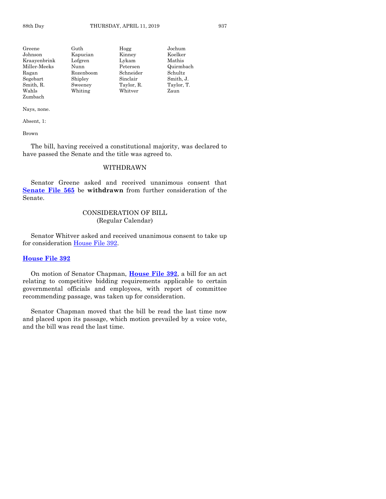| Greene       | Guth      | Hogg       | Jochum     |
|--------------|-----------|------------|------------|
| Johnson      | Kapucian  | Kinney     | Koelker    |
| Kraayenbrink | Lofgren   | Lykam      | Mathis     |
| Miller-Meeks | Nunn      | Petersen   | Quirmbach  |
| Ragan        | Rozenboom | Schneider  | Schultz    |
| Segebart     | Shipley   | Sinclair   | Smith, J.  |
| Smith, R.    | Sweeney   | Taylor, R. | Taylor, T. |
| Wahls        | Whiting   | Whitver    | Zaun       |
| Zumbach      |           |            |            |

Absent, 1:

Brown

The bill, having received a constitutional majority, was declared to have passed the Senate and the title was agreed to.

## WITHDRAWN

Senator Greene asked and received unanimous consent that **[Senate File 565](https://www.legis.iowa.gov/legislation/BillBook?ga=88&ba=SF565)** be **withdrawn** from further consideration of the Senate.

#### CONSIDERATION OF BILL (Regular Calendar)

Senator Whitver asked and received unanimous consent to take up for consideration [House File 392.](https://www.legis.iowa.gov/legislation/BillBook?ga=88&ba=HF392)

#### **[House File 392](https://www.legis.iowa.gov/legislation/BillBook?ga=88&ba=HF392)**

On motion of Senator Chapman, **[House File 392](https://www.legis.iowa.gov/legislation/BillBook?ga=88&ba=HF392)**, a bill for an act relating to competitive bidding requirements applicable to certain governmental officials and employees, with report of committee recommending passage, was taken up for consideration.

Senator Chapman moved that the bill be read the last time now and placed upon its passage, which motion prevailed by a voice vote, and the bill was read the last time.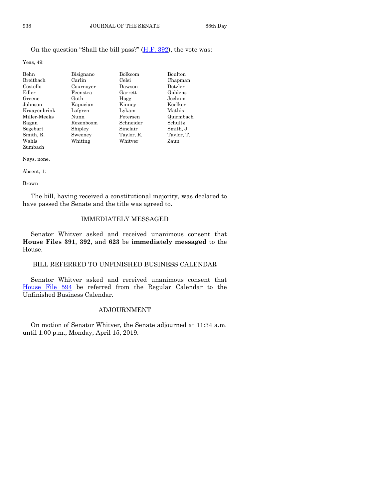## On the question "Shall the bill pass?" [\(H.F. 392\)](https://www.legis.iowa.gov/legislation/BillBook?ga=88&ba=HF392), the vote was:

Yeas, 49:

| Behn         | Bisignano | <b>Bolkcom</b> | Boulton    |
|--------------|-----------|----------------|------------|
| Breitbach    | Carlin    | Celsi          | Chapman    |
| Costello     | Cournover | Dawson         | Dotzler    |
| Edler        | Feenstra  | Garrett        | Giddens    |
| Greene       | Guth      | Hogg           | Jochum     |
| Johnson      | Kapucian  | Kinney         | Koelker    |
| Kraayenbrink | Lofgren   | Lykam          | Mathis     |
| Miller-Meeks | Nunn      | Petersen       | Quirmbach  |
| Ragan        | Rozenboom | Schneider      | Schultz    |
| Segebart     | Shipley   | Sinclair       | Smith, J.  |
| Smith, R.    | Sweeney   | Taylor, R.     | Taylor, T. |
| Wahls        | Whiting   | Whitver        | Zaun       |
| Zumbach      |           |                |            |

Nays, none.

Absent, 1:

#### Brown

The bill, having received a constitutional majority, was declared to have passed the Senate and the title was agreed to.

## IMMEDIATELY MESSAGED

Senator Whitver asked and received unanimous consent that **House Files 391**, **392**, and **623** be **immediately messaged** to the House.

## BILL REFERRED TO UNFINISHED BUSINESS CALENDAR

Senator Whitver asked and received unanimous consent that [House File 594](https://www.legis.iowa.gov/legislation/BillBook?ga=88&ba=HF594) be referred from the Regular Calendar to the Unfinished Business Calendar.

## ADJOURNMENT

On motion of Senator Whitver, the Senate adjourned at 11:34 a.m. until 1:00 p.m., Monday, April 15, 2019.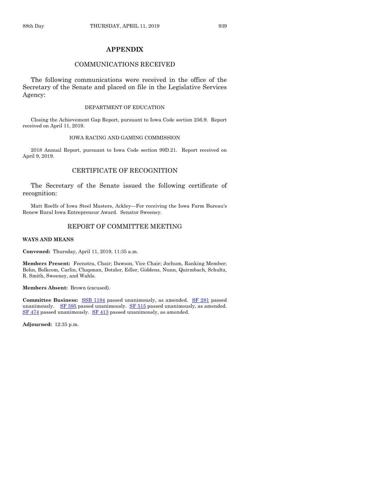#### **APPENDIX**

#### COMMUNICATIONS RECEIVED

The following communications were received in the office of the Secretary of the Senate and placed on file in the Legislative Services Agency:

#### DEPARTMENT OF EDUCATION

Closing the Achievement Gap Report, pursuant to Iowa Code section 256.9. Report received on April 11, 2019.

#### IOWA RACING AND GAMING COMMISSION

2018 Annual Report, pursuant to Iowa Code section 99D.21. Report received on April 9, 2019.

## CERTIFICATE OF RECOGNITION

The Secretary of the Senate issued the following certificate of recognition:

Matt Roelfs of Iowa Steel Masters, Ackley—For receiving the Iowa Farm Bureau's Renew Rural Iowa Entrepreneur Award. Senator Sweeney.

#### REPORT OF COMMITTEE MEETING

#### **WAYS AND MEANS**

**Convened:** Thursday, April 11, 2019, 11:35 a.m.

**Members Present:** Feenstra, Chair; Dawson, Vice Chair; Jochum, Ranking Member; Behn, Bolkcom, Carlin, Chapman, Dotzler, Edler, Giddens, Nunn, Quirmbach, Schultz, R. Smith, Sweeney, and Wahls.

**Members Absent:** Brown (excused).

Committee Business: [SSB 1184](https://www.legis.iowa.gov/legislation/BillBook?ga=88&ba=SSB1184) passed unanimously, as amended. [SF 281](https://www.legis.iowa.gov/legislation/BillBook?ga=88&ba=SF281) passed unanimously. [SF 595](https://www.legis.iowa.gov/legislation/BillBook?ga=88&ba=SF595) passed unanimously. [SF 515](https://www.legis.iowa.gov/legislation/BillBook?ga=88&ba=SF515) passed unanimously, as amended. [SF 474](https://www.legis.iowa.gov/legislation/BillBook?ga=88&ba=SF474) passed unanimously. [SF 413](https://www.legis.iowa.gov/legislation/BillBook?ga=88&ba=SF413) passed unanimously, as amended.

**Adjourned:** 12:35 p.m.